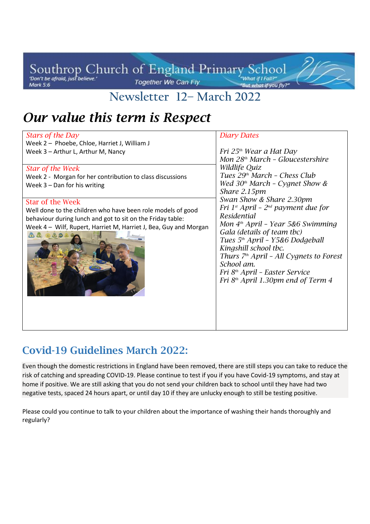#### Southrop Church of England Primary School Together We Can Fly **Mark 5:6**

**Newsletter 12– March 2022**

<u> 1 J J J</u>

# *Our value this term is Respect*

| Stars of the Day                                                                                                                                                                                                                                                                                                                                             | <b>Diary Dates</b>                                                                                                                                                                                                                                                                                                                                                                                                                                                                                   |
|--------------------------------------------------------------------------------------------------------------------------------------------------------------------------------------------------------------------------------------------------------------------------------------------------------------------------------------------------------------|------------------------------------------------------------------------------------------------------------------------------------------------------------------------------------------------------------------------------------------------------------------------------------------------------------------------------------------------------------------------------------------------------------------------------------------------------------------------------------------------------|
| Week 2 - Phoebe, Chloe, Harriet J, William J                                                                                                                                                                                                                                                                                                                 |                                                                                                                                                                                                                                                                                                                                                                                                                                                                                                      |
| Week 3 - Arthur L, Arthur M, Nancy                                                                                                                                                                                                                                                                                                                           | Fri 25 <sup>th</sup> Wear a Hat Day                                                                                                                                                                                                                                                                                                                                                                                                                                                                  |
|                                                                                                                                                                                                                                                                                                                                                              | Mon 28 <sup>th</sup> March - Gloucestershire                                                                                                                                                                                                                                                                                                                                                                                                                                                         |
| <b>Star of the Week</b><br>Week 2 - Morgan for her contribution to class discussions<br>Week $3 -$ Dan for his writing<br><b>Star of the Week</b><br>Well done to the children who have been role models of good<br>behaviour during lunch and got to sit on the Friday table:<br>Week 4 - Wilf, Rupert, Harriet M, Harriet J, Bea, Guy and Morgan<br>000000 | Wildlife Quiz<br>Tues $29th$ March - Chess Club<br>Wed $30th$ March - Cygnet Show &<br>Share 2.15pm<br>Swan Show & Share 2.30pm<br>Fri 1 <sup>st</sup> April - $2^{nd}$ payment due for<br>Residential<br>Mon $4th$ April - Year 5&6 Swimming<br>Gala (details of team tbc)<br>Tues 5 <sup>th</sup> April - Y5&6 Dodgeball<br>Kingshill school tbc.<br>Thurs $Zth$ April - All Cygnets to Forest<br>School am.<br>Fri 8 <sup>th</sup> April - Easter Service<br>Fri $8th$ April 1.30pm end of Term 4 |
|                                                                                                                                                                                                                                                                                                                                                              |                                                                                                                                                                                                                                                                                                                                                                                                                                                                                                      |
|                                                                                                                                                                                                                                                                                                                                                              |                                                                                                                                                                                                                                                                                                                                                                                                                                                                                                      |

### **Covid-19 Guidelines March 2022:**

Even though the domestic restrictions in England have been removed, there are still steps you can take to reduce the risk of catching and spreading COVID-19. Please continue to test if you if you have Covid-19 symptoms, and stay at home if positive. We are still asking that you do not send your children back to school until they have had two negative tests, spaced 24 hours apart, or until day 10 if they are unlucky enough to still be testing positive.

Please could you continue to talk to your children about the importance of washing their hands thoroughly and regularly?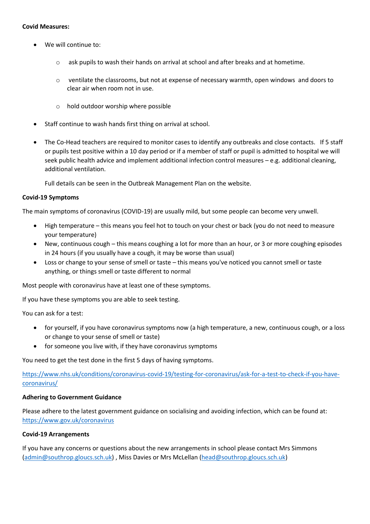#### **Covid Measures:**

- We will continue to:
	- o ask pupils to wash their hands on arrival at school and after breaks and at hometime.
	- $\circ$  ventilate the classrooms, but not at expense of necessary warmth, open windows and doors to clear air when room not in use.
	- o hold outdoor worship where possible
- Staff continue to wash hands first thing on arrival at school.
- The Co-Head teachers are required to monitor cases to identify any outbreaks and close contacts. If 5 staff or pupils test positive within a 10 day period or if a member of staff or pupil is admitted to hospital we will seek public health advice and implement additional infection control measures – e.g. additional cleaning, additional ventilation.

Full details can be seen in the Outbreak Management Plan on the website.

#### **Covid-19 Symptoms**

The main symptoms of coronavirus (COVID-19) are usually mild, but some people can become very unwell.

- High temperature this means you feel hot to touch on your chest or back (you do not need to measure your temperature)
- New, continuous cough this means coughing a lot for more than an hour, or 3 or more coughing episodes in 24 hours (if you usually have a cough, it may be worse than usual)
- Loss or change to your sense of smell or taste this means you've noticed you cannot smell or taste anything, or things smell or taste different to normal

Most people with coronavirus have at least one of these symptoms.

If you have these symptoms you are able to seek testing.

You can ask for a test:

- for yourself, if you have coronavirus symptoms now (a high temperature, a new, continuous cough, or a loss or change to your sense of smell or taste)
- for someone you live with, if they have coronavirus symptoms

You need to get the test done in the first 5 days of having symptoms.

[https://www.nhs.uk/conditions/coronavirus-covid-19/testing-for-coronavirus/ask-for-a-test-to-check-if-you-have](https://www.nhs.uk/conditions/coronavirus-covid-19/testing-for-coronavirus/ask-for-a-test-to-check-if-you-have-coronavirus/)[coronavirus/](https://www.nhs.uk/conditions/coronavirus-covid-19/testing-for-coronavirus/ask-for-a-test-to-check-if-you-have-coronavirus/)

#### **Adhering to Government Guidance**

Please adhere to the latest government guidance on socialising and avoiding infection, which can be found at: <https://www.gov.uk/coronavirus>

#### **Covid-19 Arrangements**

If you have any concerns or questions about the new arrangements in school please contact Mrs Simmons [\(admin@southrop.gloucs.sch.uk\)](mailto:admin@southrop.gloucs.sch.uk) , Miss Davies or Mrs McLellan [\(head@southrop.gloucs.sch.uk\)](mailto:head@southrop.gloucs.sch.uk)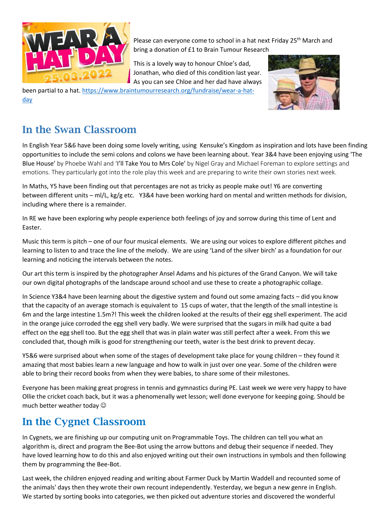

Please can everyone come to school in a hat next Friday 25<sup>th</sup> March and bring a donation of £1 to Brain Tumour Research

This is a lovely way to honour Chloe's dad, Jonathan, who died of this condition last year. As you can see Chloe and her dad have always

been partial to a hat. [https://www.braintumourresearch.org/fundraise/wear-a-hat](https://www.braintumourresearch.org/fundraise/wear-a-hat-day)[day](https://www.braintumourresearch.org/fundraise/wear-a-hat-day)



#### **In the Swan Classroom**

In English Year 5&6 have been doing some lovely writing, using Kensuke's Kingdom as inspiration and lots have been finding opportunities to include the semi colons and colons we have been learning about. Year 3&4 have been enjoying using 'The Blue House' by Phoebe Wahl and 'I'll Take You to Mrs Cole' by Nigel Gray and Michael Foreman to explore settings and emotions. They particularly got into the role play this week and are preparing to write their own stories next week.

In Maths, Y5 have been finding out that percentages are not as tricky as people make out! Y6 are converting between different units – ml/L, kg/g etc. Y3&4 have been working hard on mental and written methods for division, including where there is a remainder.

In RE we have been exploring why people experience both feelings of joy and sorrow during this time of Lent and Easter.

Music this term is pitch – one of our four musical elements. We are using our voices to explore different pitches and learning to listen to and trace the line of the melody. We are using 'Land of the silver birch' as a foundation for our learning and noticing the intervals between the notes.

Our art this term is inspired by the photographer Ansel Adams and his pictures of the Grand Canyon. We will take our own digital photographs of the landscape around school and use these to create a photographic collage.

In Science Y3&4 have been learning about the digestive system and found out some amazing facts – did you know that the capacity of an average stomach is equivalent to 15 cups of water, that the length of the small intestine is 6m and the large intestine 1.5m?! This week the children looked at the results of their egg shell experiment. The acid in the orange juice corroded the egg shell very badly. We were surprised that the sugars in milk had quite a bad effect on the egg shell too. But the egg shell that was in plain water was still perfect after a week. From this we concluded that, though milk is good for strengthening our teeth, water is the best drink to prevent decay.

Y5&6 were surprised about when some of the stages of development take place for young children – they found it amazing that most babies learn a new language and how to walk in just over one year. Some of the children were able to bring their record books from when they were babies, to share some of their milestones.

Everyone has been making great progress in tennis and gymnastics during PE. Last week we were very happy to have Ollie the cricket coach back, but it was a phenomenally wet lesson; well done everyone for keeping going. Should be much better weather today

#### **In the Cygnet Classroom**

In Cygnets, we are finishing up our computing unit on Programmable Toys. The children can tell you what an algorithm is, direct and program the Bee-Bot using the arrow buttons and debug their sequence if needed. They have loved learning how to do this and also enjoyed writing out their own instructions in symbols and then following them by programming the Bee-Bot.

Last week, the children enjoyed reading and writing about Farmer Duck by Martin Waddell and recounted some of the animals' days then they wrote their own recount independently. Yesterday, we begun a new genre in English. We started by sorting books into categories, we then picked out adventure stories and discovered the wonderful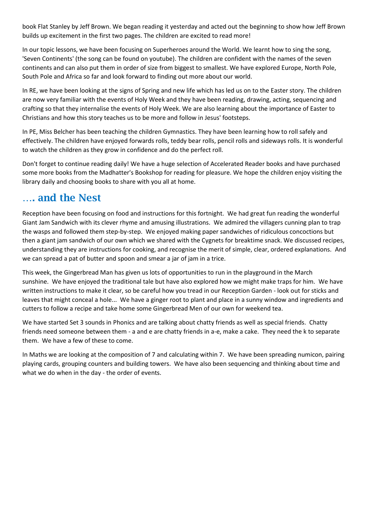book Flat Stanley by Jeff Brown. We began reading it yesterday and acted out the beginning to show how Jeff Brown builds up excitement in the first two pages. The children are excited to read more!

In our topic lessons, we have been focusing on Superheroes around the World. We learnt how to sing the song, 'Seven Continents' (the song can be found on youtube). The children are confident with the names of the seven continents and can also put them in order of size from biggest to smallest. We have explored Europe, North Pole, South Pole and Africa so far and look forward to finding out more about our world.

In RE, we have been looking at the signs of Spring and new life which has led us on to the Easter story. The children are now very familiar with the events of Holy Week and they have been reading, drawing, acting, sequencing and crafting so that they internalise the events of Holy Week. We are also learning about the importance of Easter to Christians and how this story teaches us to be more and follow in Jesus' footsteps.

In PE, Miss Belcher has been teaching the children Gymnastics. They have been learning how to roll safely and effectively. The children have enjoyed forwards rolls, teddy bear rolls, pencil rolls and sideways rolls. It is wonderful to watch the children as they grow in confidence and do the perfect roll.

Don't forget to continue reading daily! We have a huge selection of Accelerated Reader books and have purchased some more books from the Madhatter's Bookshop for reading for pleasure. We hope the children enjoy visiting the library daily and choosing books to share with you all at home.

#### **…. and the Nest**

Reception have been focusing on food and instructions for this fortnight. We had great fun reading the wonderful Giant Jam Sandwich with its clever rhyme and amusing illustrations. We admired the villagers cunning plan to trap the wasps and followed them step-by-step. We enjoyed making paper sandwiches of ridiculous concoctions but then a giant jam sandwich of our own which we shared with the Cygnets for breaktime snack. We discussed recipes, understanding they are instructions for cooking, and recognise the merit of simple, clear, ordered explanations. And we can spread a pat of butter and spoon and smear a jar of jam in a trice.

This week, the Gingerbread Man has given us lots of opportunities to run in the playground in the March sunshine. We have enjoyed the traditional tale but have also explored how we might make traps for him. We have written instructions to make it clear, so be careful how you tread in our Reception Garden - look out for sticks and leaves that might conceal a hole... We have a ginger root to plant and place in a sunny window and ingredients and cutters to follow a recipe and take home some Gingerbread Men of our own for weekend tea.

We have started Set 3 sounds in Phonics and are talking about chatty friends as well as special friends. Chatty friends need someone between them - a and e are chatty friends in a-e, make a cake. They need the k to separate them. We have a few of these to come.

In Maths we are looking at the composition of 7 and calculating within 7. We have been spreading numicon, pairing playing cards, grouping counters and building towers. We have also been sequencing and thinking about time and what we do when in the day - the order of events.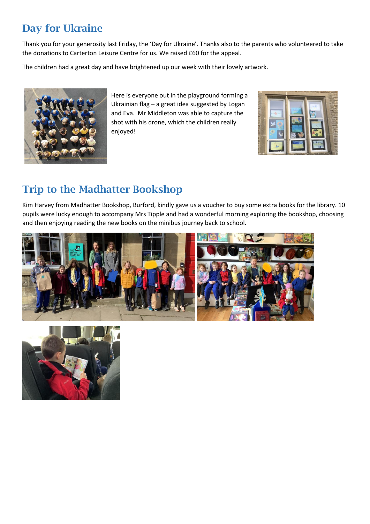## **Day for Ukraine**

Thank you for your generosity last Friday, the 'Day for Ukraine'. Thanks also to the parents who volunteered to take the donations to Carterton Leisure Centre for us. We raised £60 for the appeal.

The children had a great day and have brightened up our week with their lovely artwork.



Here is everyone out in the playground forming a Ukrainian flag – a great idea suggested by Logan and Eva. Mr Middleton was able to capture the shot with his drone, which the children really enjoyed!



## **Trip to the Madhatter Bookshop**

Kim Harvey from Madhatter Bookshop, Burford, kindly gave us a voucher to buy some extra books for the library. 10 pupils were lucky enough to accompany Mrs Tipple and had a wonderful morning exploring the bookshop, choosing and then enjoying reading the new books on the minibus journey back to school.